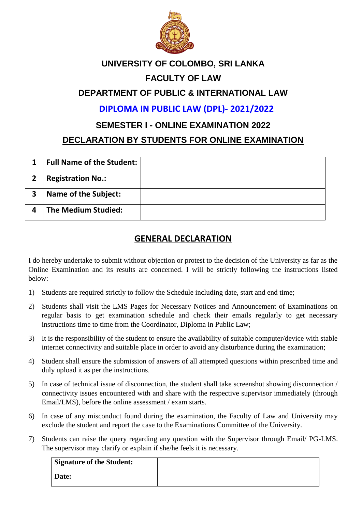

#### **UNIVERSITY OF COLOMBO, SRI LANKA**

### **FACULTY OF LAW**

### **DEPARTMENT OF PUBLIC & INTERNATIONAL LAW**

**DIPLOMA IN PUBLIC LAW (DPL)- 2021/2022**

#### **SEMESTER I - ONLINE EXAMINATION 2022**

#### **DECLARATION BY STUDENTS FOR ONLINE EXAMINATION**

|   | <b>Full Name of the Student:</b> |  |
|---|----------------------------------|--|
|   | <b>Registration No.:</b>         |  |
| 3 | <b>Name of the Subject:</b>      |  |
|   | <b>The Medium Studied:</b>       |  |

# **GENERAL DECLARATION**

I do hereby undertake to submit without objection or protest to the decision of the University as far as the Online Examination and its results are concerned. I will be strictly following the instructions listed below:

- 1) Students are required strictly to follow the Schedule including date, start and end time;
- 2) Students shall visit the LMS Pages for Necessary Notices and Announcement of Examinations on regular basis to get examination schedule and check their emails regularly to get necessary instructions time to time from the Coordinator, Diploma in Public Law;
- 3) It is the responsibility of the student to ensure the availability of suitable computer/device with stable internet connectivity and suitable place in order to avoid any disturbance during the examination;
- 4) Student shall ensure the submission of answers of all attempted questions within prescribed time and duly upload it as per the instructions.
- 5) In case of technical issue of disconnection, the student shall take screenshot showing disconnection / connectivity issues encountered with and share with the respective supervisor immediately (through Email/LMS), before the online assessment / exam starts.
- 6) In case of any misconduct found during the examination, the Faculty of Law and University may exclude the student and report the case to the Examinations Committee of the University.
- 7) Students can raise the query regarding any question with the Supervisor through Email/ PG-LMS. The supervisor may clarify or explain if she/he feels it is necessary.

| <b>Signature of the Student:</b> |  |
|----------------------------------|--|
| <b>Date:</b>                     |  |